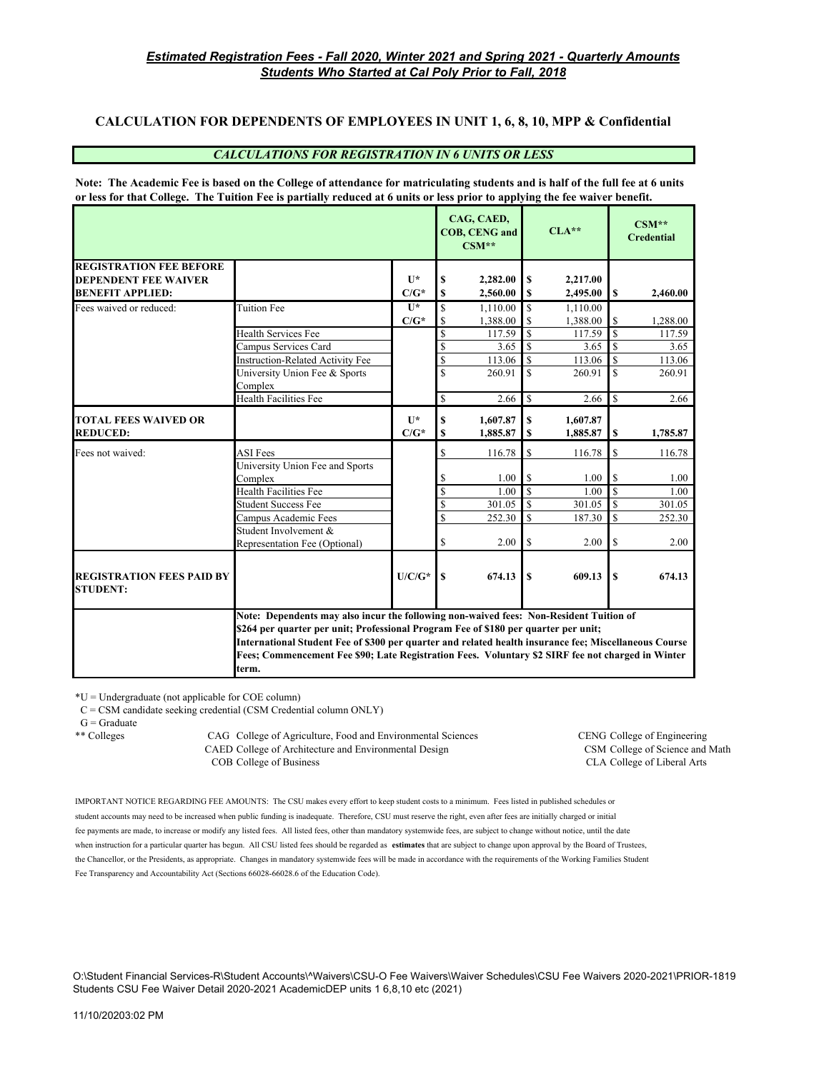### **CALCULATION FOR DEPENDENTS OF EMPLOYEES IN UNIT 1, 6, 8, 10, MPP & Confidential**

#### *CALCULATIONS FOR REGISTRATION IN 6 UNITS OR LESS*

**Note: The Academic Fee is based on the College of attendance for matriculating students and is half of the full fee at 6 units or less for that College. The Tuition Fee is partially reduced at 6 units or less prior to applying the fee waiver benefit.**

|                                                     |                                                                                                                                                                                                                                                                                                                                                                                                      |                |                          | CAG, CAED,<br><b>COB, CENG and</b><br>$CSM**$ |               | $CLA**$  |                         | $CSM**$<br><b>Credential</b> |
|-----------------------------------------------------|------------------------------------------------------------------------------------------------------------------------------------------------------------------------------------------------------------------------------------------------------------------------------------------------------------------------------------------------------------------------------------------------------|----------------|--------------------------|-----------------------------------------------|---------------|----------|-------------------------|------------------------------|
| <b>REGISTRATION FEE BEFORE</b>                      |                                                                                                                                                                                                                                                                                                                                                                                                      |                |                          |                                               |               |          |                         |                              |
| <b>DEPENDENT FEE WAIVER</b>                         |                                                                                                                                                                                                                                                                                                                                                                                                      | $\mathbf{I}$   | S                        | 2,282.00                                      | S             | 2,217.00 |                         |                              |
| <b>BENEFIT APPLIED:</b>                             |                                                                                                                                                                                                                                                                                                                                                                                                      | $C/G^*$        | S                        | 2,560.00                                      | S             | 2,495.00 | <b>S</b>                | 2,460.00                     |
| Fees waived or reduced:                             | Tuition Fee                                                                                                                                                                                                                                                                                                                                                                                          | $\overline{1}$ | \$                       | 1.110.00                                      | <sup>\$</sup> | 1.110.00 |                         |                              |
|                                                     |                                                                                                                                                                                                                                                                                                                                                                                                      | $C/G^*$        | \$                       | 1,388.00                                      | <sup>\$</sup> | 1,388.00 | \$                      | 1.288.00                     |
|                                                     | <b>Health Services Fee</b>                                                                                                                                                                                                                                                                                                                                                                           |                | $\mathbf S$              | 117.59                                        | <sup>\$</sup> | 117.59   | $\mathbf S$             | 117.59                       |
|                                                     | Campus Services Card                                                                                                                                                                                                                                                                                                                                                                                 |                | \$                       | 3.65                                          | $\mathbb{S}$  | 3.65     | $\mathbf S$             | 3.65                         |
|                                                     | <b>Instruction-Related Activity Fee</b>                                                                                                                                                                                                                                                                                                                                                              |                | $\overline{\mathcal{S}}$ | 113.06                                        | <sup>\$</sup> | 113.06   | \$                      | 113.06                       |
|                                                     | University Union Fee & Sports                                                                                                                                                                                                                                                                                                                                                                        |                | $\overline{\mathbf{S}}$  | 260.91                                        | $\mathbf S$   | 260.91   | $\overline{\mathbf{s}}$ | 260.91                       |
|                                                     | Complex                                                                                                                                                                                                                                                                                                                                                                                              |                |                          |                                               |               |          |                         |                              |
|                                                     | <b>Health Facilities Fee</b>                                                                                                                                                                                                                                                                                                                                                                         |                | \$                       | 2.66                                          | $\mathbb{S}$  | 2.66     | $\mathbb{S}$            | 2.66                         |
| <b>TOTAL FEES WAIVED OR</b>                         |                                                                                                                                                                                                                                                                                                                                                                                                      | $\mathbf{I}$   | S                        | 1,607.87                                      | \$            | 1.607.87 |                         |                              |
| <b>REDUCED:</b>                                     |                                                                                                                                                                                                                                                                                                                                                                                                      | $C/G^*$        | $\mathbf S$              | 1,885.87                                      | \$            | 1,885.87 | \$                      | 1,785.87                     |
|                                                     |                                                                                                                                                                                                                                                                                                                                                                                                      |                |                          |                                               |               |          |                         |                              |
| Fees not waived:                                    | <b>ASI</b> Fees                                                                                                                                                                                                                                                                                                                                                                                      |                | \$                       | 116.78                                        | \$            | 116.78   | \$                      | 116.78                       |
|                                                     | University Union Fee and Sports                                                                                                                                                                                                                                                                                                                                                                      |                |                          |                                               |               |          |                         |                              |
|                                                     | Complex                                                                                                                                                                                                                                                                                                                                                                                              |                | \$                       | 1.00                                          | \$            | 1.00     | S                       | 1.00                         |
|                                                     | <b>Health Facilities Fee</b>                                                                                                                                                                                                                                                                                                                                                                         |                | <sup>\$</sup>            | 1.00                                          | $\mathbb{S}$  | 1.00     | <sup>\$</sup>           | 1.00                         |
|                                                     | <b>Student Success Fee</b>                                                                                                                                                                                                                                                                                                                                                                           |                | \$                       | 301.05                                        | \$            | 301.05   | \$                      | 301.05                       |
|                                                     | Campus Academic Fees                                                                                                                                                                                                                                                                                                                                                                                 |                | \$                       | 252.30                                        | <sup>\$</sup> | 187.30   | S                       | 252.30                       |
|                                                     | Student Involvement &                                                                                                                                                                                                                                                                                                                                                                                |                |                          |                                               |               |          |                         |                              |
|                                                     | Representation Fee (Optional)                                                                                                                                                                                                                                                                                                                                                                        |                | \$                       | 2.00                                          | \$            | 2.00     | <sup>\$</sup>           | 2.00                         |
| <b>REGISTRATION FEES PAID BY</b><br><b>STUDENT:</b> |                                                                                                                                                                                                                                                                                                                                                                                                      | $U/C/G^*$      | S                        | 674.13                                        | S             | 609.13   | $\mathbf S$             | 674.13                       |
|                                                     | Note: Dependents may also incur the following non-waived fees: Non-Resident Tuition of<br>\$264 per quarter per unit; Professional Program Fee of \$180 per quarter per unit;<br>International Student Fee of \$300 per quarter and related health insurance fee; Miscellaneous Course<br>Fees; Commencement Fee \$90; Late Registration Fees. Voluntary \$2 SIRF fee not charged in Winter<br>term. |                |                          |                                               |               |          |                         |                              |

\*U = Undergraduate (not applicable for COE column)

C = CSM candidate seeking credential (CSM Credential column ONLY)

 $G =$ Graduate

\*\* Colleges CAG College of Agriculture, Food and Environmental Sciences CENG College of Engineering CAED College of Architecture and Environmental Design CSM College of Science and Math COB College of Business CLA College of Liberal Arts

IMPORTANT NOTICE REGARDING FEE AMOUNTS: The CSU makes every effort to keep student costs to a minimum. Fees listed in published schedules or student accounts may need to be increased when public funding is inadequate. Therefore, CSU must reserve the right, even after fees are initially charged or initial fee payments are made, to increase or modify any listed fees. All listed fees, other than mandatory systemwide fees, are subject to change without notice, until the date when instruction for a particular quarter has begun. All CSU listed fees should be regarded as **estimates** that are subject to change upon approval by the Board of Trustees, the Chancellor, or the Presidents, as appropriate. Changes in mandatory systemwide fees will be made in accordance with the requirements of the Working Families Student Fee Transparency and Accountability Act (Sections 66028-66028.6 of the Education Code).

O:\Student Financial Services-R\Student Accounts\^Waivers\CSU-O Fee Waivers\Waiver Schedules\CSU Fee Waivers 2020-2021\PRIOR-1819 Students CSU Fee Waiver Detail 2020-2021 AcademicDEP units 1 6,8,10 etc (2021)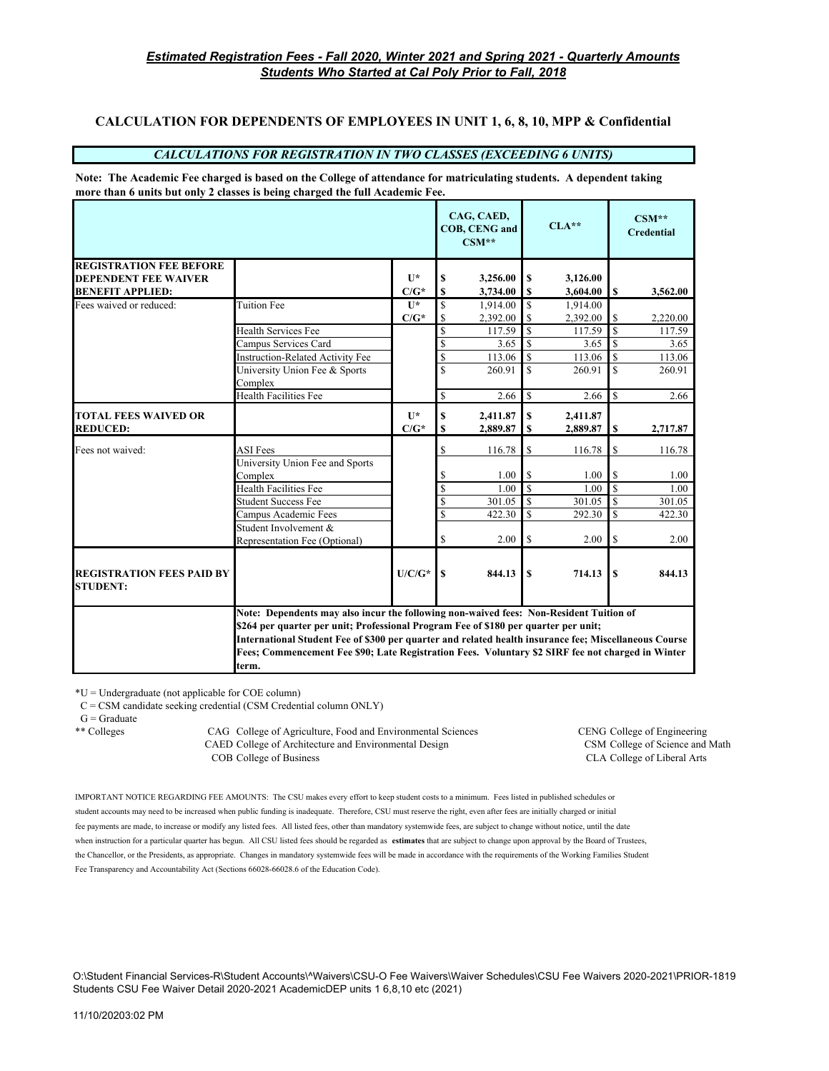# **CALCULATION FOR DEPENDENTS OF EMPLOYEES IN UNIT 1, 6, 8, 10, MPP & Confidential**

#### *CALCULATIONS FOR REGISTRATION IN TWO CLASSES (EXCEEDING 6 UNITS)*

**Note: The Academic Fee charged is based on the College of attendance for matriculating students. A dependent taking more than 6 units but only 2 classes is being charged the full Academic Fee.**

|                                                     |                                                                                                                                                                                                                                                                                                                                                                                                      |                                      |                         | CAG, CAED,<br><b>COB, CENG and</b><br>$CSM**$ |                  | $CLA**$              |             | $CSM**$<br><b>Credential</b> |
|-----------------------------------------------------|------------------------------------------------------------------------------------------------------------------------------------------------------------------------------------------------------------------------------------------------------------------------------------------------------------------------------------------------------------------------------------------------------|--------------------------------------|-------------------------|-----------------------------------------------|------------------|----------------------|-------------|------------------------------|
| <b>REGISTRATION FEE BEFORE</b>                      |                                                                                                                                                                                                                                                                                                                                                                                                      |                                      |                         |                                               |                  |                      |             |                              |
| <b>DEPENDENT FEE WAIVER</b>                         |                                                                                                                                                                                                                                                                                                                                                                                                      | $\mathbf{U}^*$                       | \$                      | 3,256.00                                      | S                | 3,126.00             |             |                              |
| <b>BENEFIT APPLIED:</b>                             |                                                                                                                                                                                                                                                                                                                                                                                                      | $C/G^*$                              | \$                      | 3,734.00                                      | S                | 3,604.00             | S           | 3,562.00                     |
| Fees waived or reduced:                             | <b>Tuition Fee</b>                                                                                                                                                                                                                                                                                                                                                                                   | $\mathbf{U}^*$                       | $\overline{\mathbf{S}}$ | 1.914.00                                      | $\mathbf{\$}$    | 1.914.00             |             |                              |
|                                                     |                                                                                                                                                                                                                                                                                                                                                                                                      | $\mathbf{C}/\mathbf{G}^{\star}$      | \$                      | 2,392.00                                      | <sup>\$</sup>    | 2,392.00             | S           | 2,220.00                     |
|                                                     | Health Services Fee                                                                                                                                                                                                                                                                                                                                                                                  |                                      | \$                      | 117.59                                        | <sup>\$</sup>    | 117.59               | $\mathbf S$ | 117.59                       |
|                                                     | Campus Services Card                                                                                                                                                                                                                                                                                                                                                                                 |                                      | $\overline{\mathbb{S}}$ | 3.65                                          | $\mathbf S$      | 3.65                 | \$          | 3.65                         |
|                                                     | <b>Instruction-Related Activity Fee</b>                                                                                                                                                                                                                                                                                                                                                              |                                      | \$                      | 113.06                                        | $\mathbf S$      | 113.06               | $\mathbf S$ | 113.06                       |
|                                                     | University Union Fee & Sports<br>Complex                                                                                                                                                                                                                                                                                                                                                             |                                      | \$                      | 260.91                                        | $\mathcal{S}$    | 260.91               | $\mathbf S$ | 260.91                       |
|                                                     | Health Facilities Fee                                                                                                                                                                                                                                                                                                                                                                                |                                      | \$                      | 2.66                                          | <sup>\$</sup>    | 2.66                 | \$.         | 2.66                         |
| <b>TOTAL FEES WAIVED OR</b><br><b>REDUCED:</b>      |                                                                                                                                                                                                                                                                                                                                                                                                      | $\mathbf{I}$ $\mathbf{R}$<br>$C/G^*$ | \$<br>\$                | 2,411.87<br>2,889.87                          | $\mathbf S$<br>S | 2,411.87<br>2,889.87 | \$          | 2,717.87                     |
|                                                     |                                                                                                                                                                                                                                                                                                                                                                                                      |                                      |                         |                                               |                  |                      |             |                              |
| Fees not waived:                                    | ASI Fees                                                                                                                                                                                                                                                                                                                                                                                             |                                      | S                       | 116.78                                        | \$               | 116.78               | S           | 116.78                       |
|                                                     | University Union Fee and Sports                                                                                                                                                                                                                                                                                                                                                                      |                                      |                         |                                               |                  |                      |             |                              |
|                                                     | Complex                                                                                                                                                                                                                                                                                                                                                                                              |                                      | S                       | 1.00                                          | <sup>\$</sup>    | 1.00                 | S           | 1.00                         |
|                                                     | Health Facilities Fee                                                                                                                                                                                                                                                                                                                                                                                |                                      | \$                      | 1.00                                          | $\mathbf S$      | 1.00                 | $\mathbf S$ | 1.00                         |
|                                                     | <b>Student Success Fee</b>                                                                                                                                                                                                                                                                                                                                                                           |                                      | \$                      | 301.05                                        | $\mathbf S$      | 301.05               | $\mathbf S$ | 301.05                       |
|                                                     | Campus Academic Fees                                                                                                                                                                                                                                                                                                                                                                                 |                                      | \$                      | 422.30                                        | <sup>\$</sup>    | 292.30               | <b>S</b>    | 422.30                       |
|                                                     | Student Involvement &                                                                                                                                                                                                                                                                                                                                                                                |                                      |                         |                                               |                  |                      |             |                              |
|                                                     | Representation Fee (Optional)                                                                                                                                                                                                                                                                                                                                                                        |                                      | \$                      | 2.00                                          | \$               | 2.00                 | \$          | 2.00                         |
| <b>REGISTRATION FEES PAID BY</b><br><b>STUDENT:</b> |                                                                                                                                                                                                                                                                                                                                                                                                      | $U/C/G^*$                            | S                       | 844.13                                        | $\mathbf{s}$     | 714.13               | S           | 844.13                       |
|                                                     | Note: Dependents may also incur the following non-waived fees: Non-Resident Tuition of<br>\$264 per quarter per unit; Professional Program Fee of \$180 per quarter per unit;<br>International Student Fee of \$300 per quarter and related health insurance fee; Miscellaneous Course<br>Fees; Commencement Fee \$90; Late Registration Fees. Voluntary \$2 SIRF fee not charged in Winter<br>term. |                                      |                         |                                               |                  |                      |             |                              |

\*U = Undergraduate (not applicable for COE column)

C = CSM candidate seeking credential (CSM Credential column ONLY)

 $G =$ Graduate

\*\* Colleges CAG College of Agriculture, Food and Environmental Sciences CENG College of Engineering CAED College of Architecture and Environmental Design CSM College of Science and Math COB College of Business CLA College of Liberal Arts

IMPORTANT NOTICE REGARDING FEE AMOUNTS: The CSU makes every effort to keep student costs to a minimum. Fees listed in published schedules or student accounts may need to be increased when public funding is inadequate. Therefore, CSU must reserve the right, even after fees are initially charged or initial fee payments are made, to increase or modify any listed fees. All listed fees, other than mandatory systemwide fees, are subject to change without notice, until the date when instruction for a particular quarter has begun. All CSU listed fees should be regarded as **estimates** that are subject to change upon approval by the Board of Trustees, the Chancellor, or the Presidents, as appropriate. Changes in mandatory systemwide fees will be made in accordance with the requirements of the Working Families Student Fee Transparency and Accountability Act (Sections 66028-66028.6 of the Education Code).

O:\Student Financial Services-R\Student Accounts\^Waivers\CSU-O Fee Waivers\Waiver Schedules\CSU Fee Waivers 2020-2021\PRIOR-1819 Students CSU Fee Waiver Detail 2020-2021 AcademicDEP units 1 6,8,10 etc (2021)